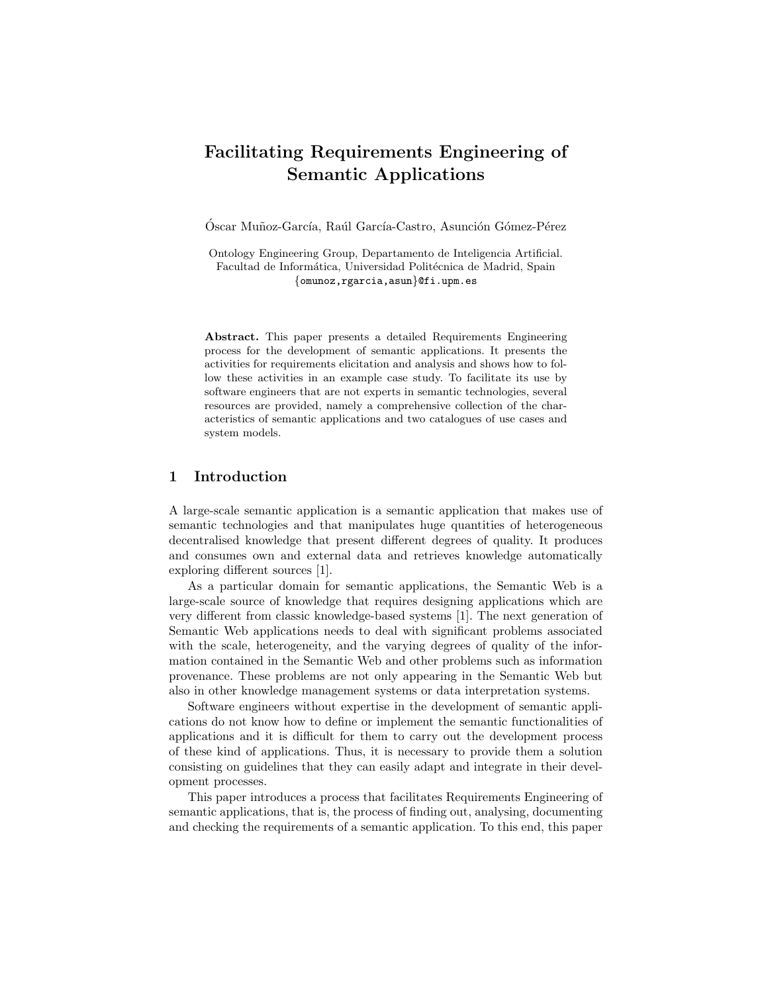# Facilitating Requirements Engineering of Semantic Applications

Óscar Muñoz-García, Raúl García-Castro, Asunción Gómez-Pérez

Ontology Engineering Group, Departamento de Inteligencia Artificial. Facultad de Informática, Universidad Politécnica de Madrid, Spain {omunoz,rgarcia,asun}@fi.upm.es

Abstract. This paper presents a detailed Requirements Engineering process for the development of semantic applications. It presents the activities for requirements elicitation and analysis and shows how to follow these activities in an example case study. To facilitate its use by software engineers that are not experts in semantic technologies, several resources are provided, namely a comprehensive collection of the characteristics of semantic applications and two catalogues of use cases and system models.

#### 1 Introduction

A large-scale semantic application is a semantic application that makes use of semantic technologies and that manipulates huge quantities of heterogeneous decentralised knowledge that present different degrees of quality. It produces and consumes own and external data and retrieves knowledge automatically exploring different sources [1].

As a particular domain for semantic applications, the Semantic Web is a large-scale source of knowledge that requires designing applications which are very different from classic knowledge-based systems [1]. The next generation of Semantic Web applications needs to deal with significant problems associated with the scale, heterogeneity, and the varying degrees of quality of the information contained in the Semantic Web and other problems such as information provenance. These problems are not only appearing in the Semantic Web but also in other knowledge management systems or data interpretation systems.

Software engineers without expertise in the development of semantic applications do not know how to define or implement the semantic functionalities of applications and it is difficult for them to carry out the development process of these kind of applications. Thus, it is necessary to provide them a solution consisting on guidelines that they can easily adapt and integrate in their development processes.

This paper introduces a process that facilitates Requirements Engineering of semantic applications, that is, the process of finding out, analysing, documenting and checking the requirements of a semantic application. To this end, this paper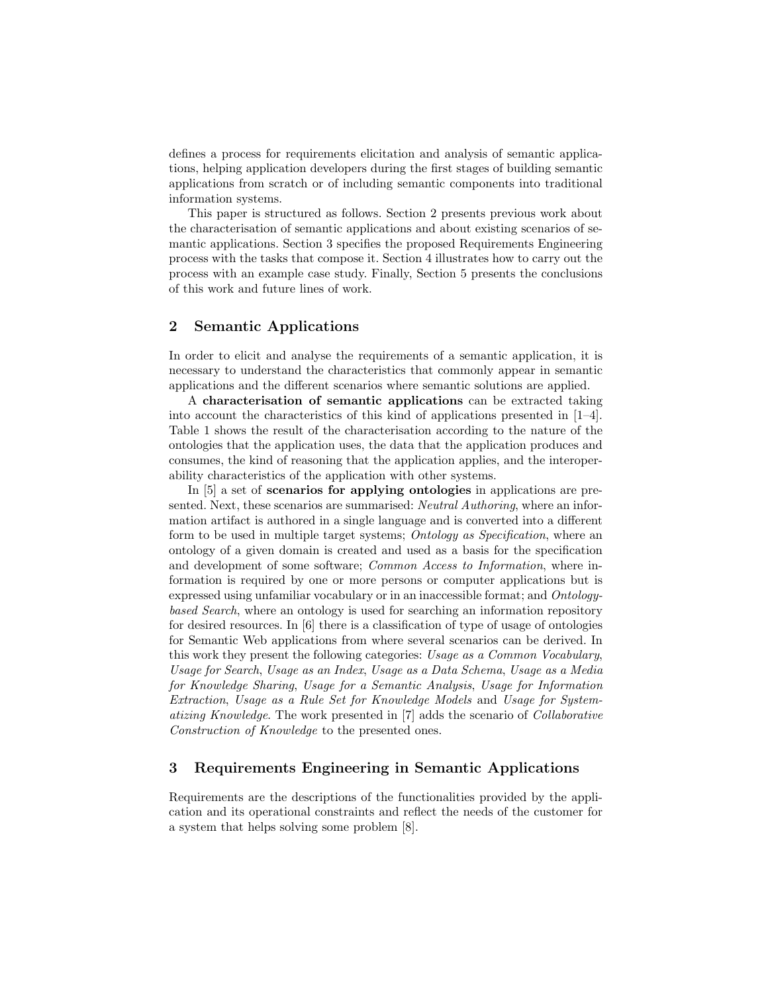defines a process for requirements elicitation and analysis of semantic applications, helping application developers during the first stages of building semantic applications from scratch or of including semantic components into traditional information systems.

This paper is structured as follows. Section 2 presents previous work about the characterisation of semantic applications and about existing scenarios of semantic applications. Section 3 specifies the proposed Requirements Engineering process with the tasks that compose it. Section 4 illustrates how to carry out the process with an example case study. Finally, Section 5 presents the conclusions of this work and future lines of work.

### 2 Semantic Applications

In order to elicit and analyse the requirements of a semantic application, it is necessary to understand the characteristics that commonly appear in semantic applications and the different scenarios where semantic solutions are applied.

A characterisation of semantic applications can be extracted taking into account the characteristics of this kind of applications presented in  $[1-4]$ . Table 1 shows the result of the characterisation according to the nature of the ontologies that the application uses, the data that the application produces and consumes, the kind of reasoning that the application applies, and the interoperability characteristics of the application with other systems.

In [5] a set of scenarios for applying ontologies in applications are presented. Next, these scenarios are summarised: *Neutral Authoring*, where an information artifact is authored in a single language and is converted into a different form to be used in multiple target systems; Ontology as Specification, where an ontology of a given domain is created and used as a basis for the specification and development of some software; Common Access to Information, where information is required by one or more persons or computer applications but is expressed using unfamiliar vocabulary or in an inaccessible format; and Ontologybased Search, where an ontology is used for searching an information repository for desired resources. In [6] there is a classification of type of usage of ontologies for Semantic Web applications from where several scenarios can be derived. In this work they present the following categories: Usage as a Common Vocabulary, Usage for Search, Usage as an Index, Usage as a Data Schema, Usage as a Media for Knowledge Sharing, Usage for a Semantic Analysis, Usage for Information Extraction, Usage as a Rule Set for Knowledge Models and Usage for Systematizing Knowledge. The work presented in [7] adds the scenario of Collaborative Construction of Knowledge to the presented ones.

# 3 Requirements Engineering in Semantic Applications

Requirements are the descriptions of the functionalities provided by the application and its operational constraints and reflect the needs of the customer for a system that helps solving some problem [8].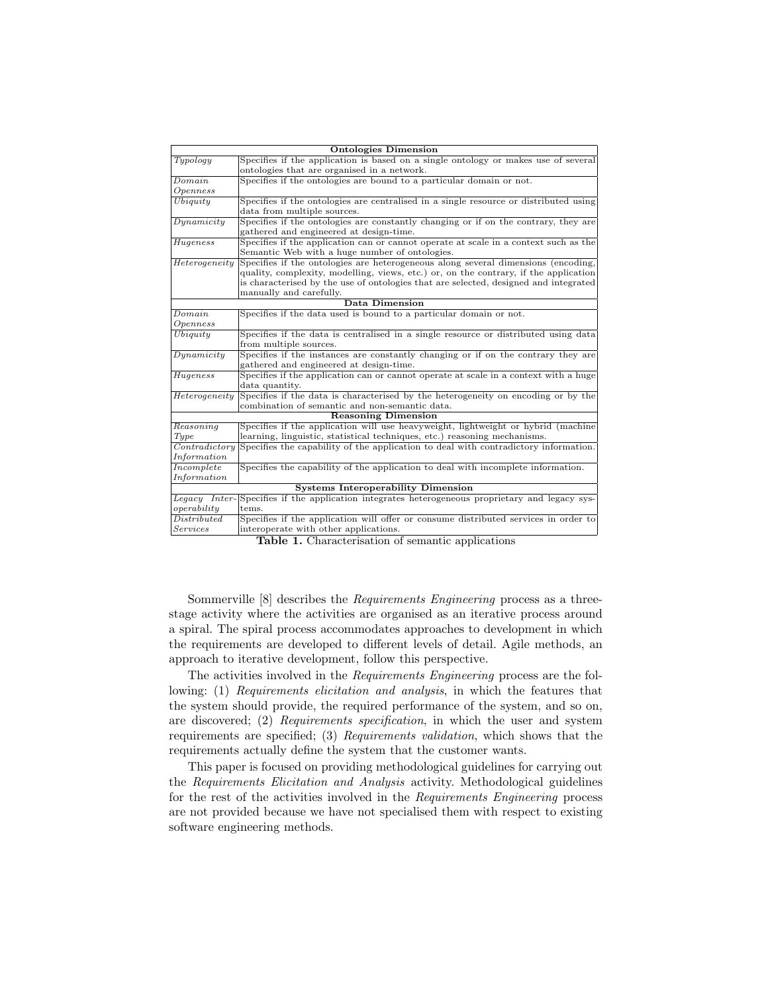| <b>Ontologies Dimension</b>               |                                                                                       |  |
|-------------------------------------------|---------------------------------------------------------------------------------------|--|
| Typology                                  | Specifies if the application is based on a single ontology or makes use of several    |  |
|                                           | ontologies that are organised in a network.                                           |  |
| Domain                                    | Specifies if the ontologies are bound to a particular domain or not.                  |  |
| Openness                                  |                                                                                       |  |
| Ubiquity                                  | Specifies if the ontologies are centralised in a single resource or distributed using |  |
|                                           | data from multiple sources.                                                           |  |
| Dunamicity                                | Specifies if the ontologies are constantly changing or if on the contrary, they are   |  |
|                                           | gathered and engineered at design-time.                                               |  |
| Hugeness                                  | Specifies if the application can or cannot operate at scale in a context such as the  |  |
|                                           | Semantic Web with a huge number of ontologies.                                        |  |
| Heterogeneity                             | Specifies if the ontologies are heterogeneous along several dimensions (encoding,     |  |
|                                           | quality, complexity, modelling, views, etc.) or, on the contrary, if the application  |  |
|                                           | is characterised by the use of ontologies that are selected, designed and integrated  |  |
|                                           | manually and carefully.                                                               |  |
| <b>Data Dimension</b>                     |                                                                                       |  |
| Domain                                    | Specifies if the data used is bound to a particular domain or not.                    |  |
| Openness                                  |                                                                                       |  |
| Ubiquity                                  | Specifies if the data is centralised in a single resource or distributed using data   |  |
|                                           | from multiple sources.                                                                |  |
| Dunamicity                                | Specifies if the instances are constantly changing or if on the contrary they are     |  |
|                                           | gathered and engineered at design-time.                                               |  |
| Hugeness                                  | Specifies if the application can or cannot operate at scale in a context with a huge  |  |
|                                           | data quantity.                                                                        |  |
| Heterogeneity                             | Specifies if the data is characterised by the heterogeneity on encoding or by the     |  |
|                                           | combination of semantic and non-semantic data.                                        |  |
| <b>Reasoning Dimension</b>                |                                                                                       |  |
| Reasoning                                 | Specifies if the application will use heavyweight, lightweight or hybrid (machine     |  |
| Type                                      | learning, linguistic, statistical techniques, etc.) reasoning mechanisms.             |  |
| Controlity                                | Specifies the capability of the application to deal with contradictory information.   |  |
| Information                               |                                                                                       |  |
| Incomplete                                | Specifies the capability of the application to deal with incomplete information.      |  |
| Information                               |                                                                                       |  |
| <b>Systems Interoperability Dimension</b> |                                                                                       |  |
| Legacy Inter-                             | Specifies if the application integrates heterogeneous proprietary and legacy sys-     |  |
| operator                                  | tems.                                                                                 |  |
| Distributed                               | Specifies if the application will offer or consume distributed services in order to   |  |
| Services                                  | interoperate with other applications.                                                 |  |

Table 1. Characterisation of semantic applications

Sommerville [8] describes the Requirements Engineering process as a threestage activity where the activities are organised as an iterative process around a spiral. The spiral process accommodates approaches to development in which the requirements are developed to different levels of detail. Agile methods, an approach to iterative development, follow this perspective.

The activities involved in the Requirements Engineering process are the following: (1) Requirements elicitation and analysis, in which the features that the system should provide, the required performance of the system, and so on, are discovered; (2) Requirements specification, in which the user and system requirements are specified; (3) Requirements validation, which shows that the requirements actually define the system that the customer wants.

This paper is focused on providing methodological guidelines for carrying out the Requirements Elicitation and Analysis activity. Methodological guidelines for the rest of the activities involved in the Requirements Engineering process are not provided because we have not specialised them with respect to existing software engineering methods.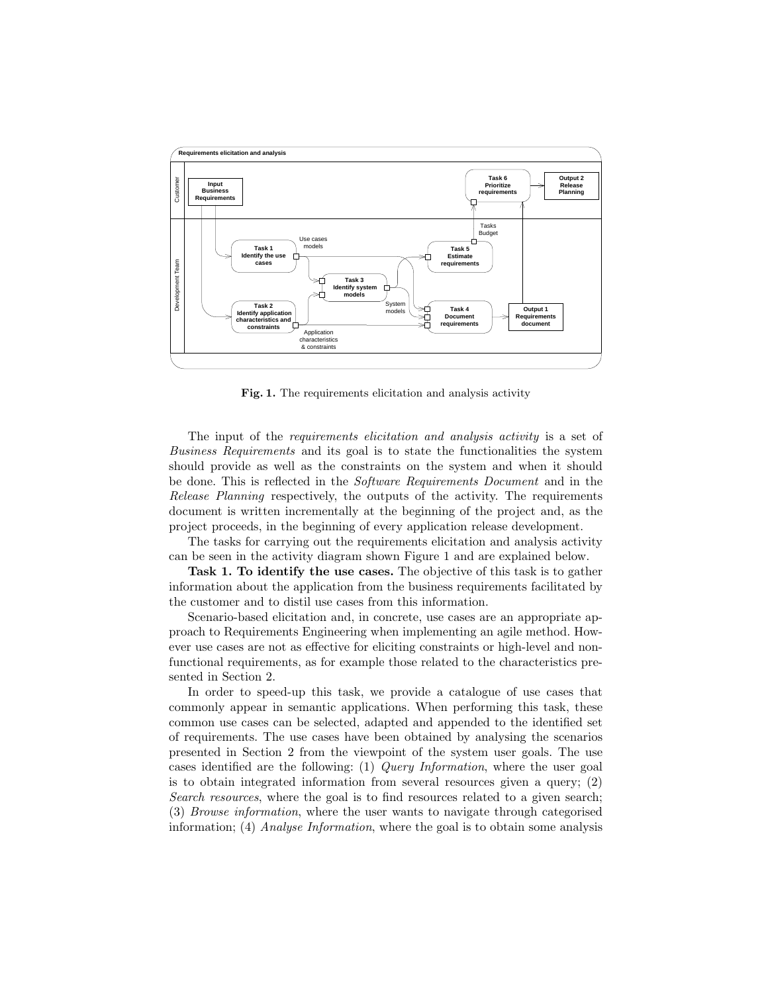

Fig. 1. The requirements elicitation and analysis activity

The input of the *requirements elicitation and analysis activity* is a set of Business Requirements and its goal is to state the functionalities the system should provide as well as the constraints on the system and when it should be done. This is reflected in the Software Requirements Document and in the Release Planning respectively, the outputs of the activity. The requirements document is written incrementally at the beginning of the project and, as the project proceeds, in the beginning of every application release development.

The tasks for carrying out the requirements elicitation and analysis activity can be seen in the activity diagram shown Figure 1 and are explained below.

Task 1. To identify the use cases. The objective of this task is to gather information about the application from the business requirements facilitated by the customer and to distil use cases from this information.

Scenario-based elicitation and, in concrete, use cases are an appropriate approach to Requirements Engineering when implementing an agile method. However use cases are not as effective for eliciting constraints or high-level and nonfunctional requirements, as for example those related to the characteristics presented in Section 2.

In order to speed-up this task, we provide a catalogue of use cases that commonly appear in semantic applications. When performing this task, these common use cases can be selected, adapted and appended to the identified set of requirements. The use cases have been obtained by analysing the scenarios presented in Section 2 from the viewpoint of the system user goals. The use cases identified are the following: (1) Query Information, where the user goal is to obtain integrated information from several resources given a query;  $(2)$ Search resources, where the goal is to find resources related to a given search; (3) Browse information, where the user wants to navigate through categorised information; (4) Analyse Information, where the goal is to obtain some analysis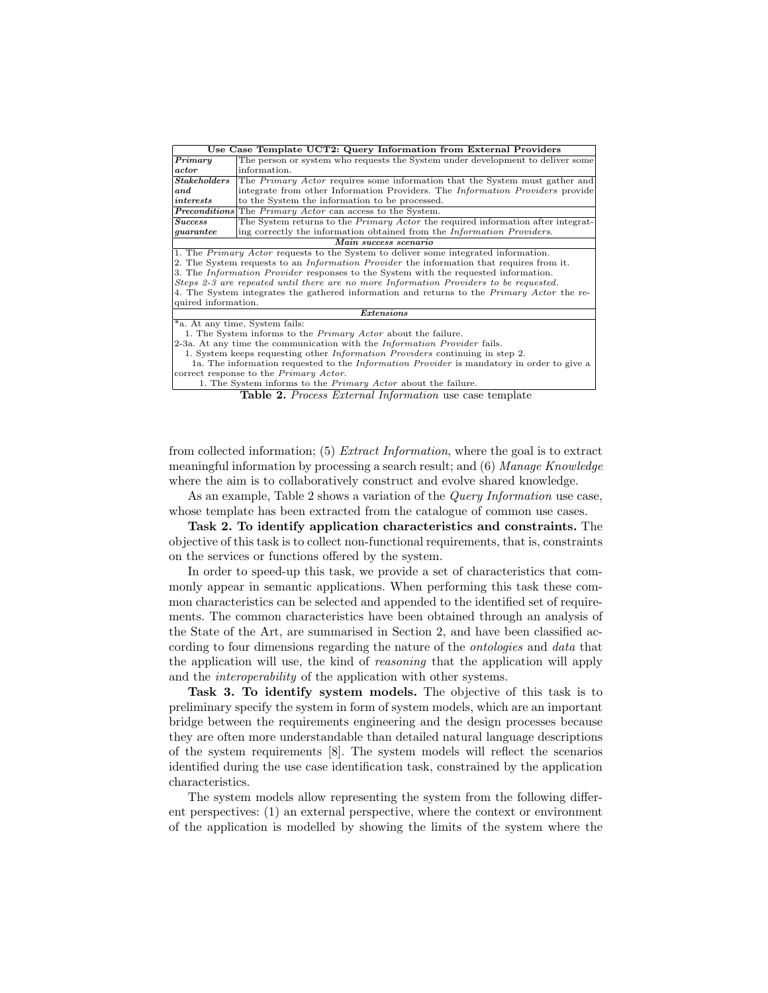| Use Case Template UCT2: Query Information from External Providers                                 |                                                                                         |  |
|---------------------------------------------------------------------------------------------------|-----------------------------------------------------------------------------------------|--|
| Primary                                                                                           | The person or system who requests the System under development to deliver some          |  |
| actor                                                                                             | information.                                                                            |  |
| Stakeholders                                                                                      | The <i>Primary Actor</i> requires some information that the System must gather and      |  |
| and                                                                                               | integrate from other Information Providers. The <i>Information Providers</i> provide    |  |
| interests                                                                                         | to the System the information to be processed.                                          |  |
|                                                                                                   | <b>Preconditions</b> The Primary Actor can access to the System.                        |  |
| <b>Success</b>                                                                                    | The System returns to the <i>Primary Actor</i> the required information after integrat- |  |
| quarantee                                                                                         | ing correctly the information obtained from the <i>Information Providers</i> .          |  |
| Main success scenario                                                                             |                                                                                         |  |
| 1. The <i>Primary Actor</i> requests to the System to deliver some integrated information.        |                                                                                         |  |
| 2. The System requests to an <i>Information Provider</i> the information that requires from it.   |                                                                                         |  |
| 3. The Information Provider responses to the System with the requested information.               |                                                                                         |  |
| Steps 2-3 are repeated until there are no more Information Providers to be requested.             |                                                                                         |  |
| 4. The System integrates the gathered information and returns to the <i>Primary Actor</i> the re- |                                                                                         |  |
| quired information.                                                                               |                                                                                         |  |
| Extensions                                                                                        |                                                                                         |  |
| *a. At any time, System fails:                                                                    |                                                                                         |  |
| 1. The System informs to the <i>Primary Actor</i> about the failure.                              |                                                                                         |  |
| 2-3a. At any time the communication with the <i>Information Provider</i> fails.                   |                                                                                         |  |
| 1. System keeps requesting other <i>Information Providers</i> continuing in step 2.               |                                                                                         |  |
| 1a. The information requested to the <i>Information Provider</i> is mandatory in order to give a  |                                                                                         |  |
| correct response to the <i>Primary Actor</i> .                                                    |                                                                                         |  |
| 1. The System informs to the <i>Primary Actor</i> about the failure.                              |                                                                                         |  |

Table 2. Process External Information use case template

from collected information; (5) Extract Information, where the goal is to extract meaningful information by processing a search result; and (6) Manage Knowledge where the aim is to collaboratively construct and evolve shared knowledge.

As an example, Table 2 shows a variation of the *Query Information* use case, whose template has been extracted from the catalogue of common use cases.

Task 2. To identify application characteristics and constraints. The objective of this task is to collect non-functional requirements, that is, constraints on the services or functions offered by the system.

In order to speed-up this task, we provide a set of characteristics that commonly appear in semantic applications. When performing this task these common characteristics can be selected and appended to the identified set of requirements. The common characteristics have been obtained through an analysis of the State of the Art, are summarised in Section 2, and have been classified according to four dimensions regarding the nature of the ontologies and data that the application will use, the kind of reasoning that the application will apply and the interoperability of the application with other systems.

Task 3. To identify system models. The objective of this task is to preliminary specify the system in form of system models, which are an important bridge between the requirements engineering and the design processes because they are often more understandable than detailed natural language descriptions of the system requirements [8]. The system models will reflect the scenarios identified during the use case identification task, constrained by the application characteristics.

The system models allow representing the system from the following different perspectives: (1) an external perspective, where the context or environment of the application is modelled by showing the limits of the system where the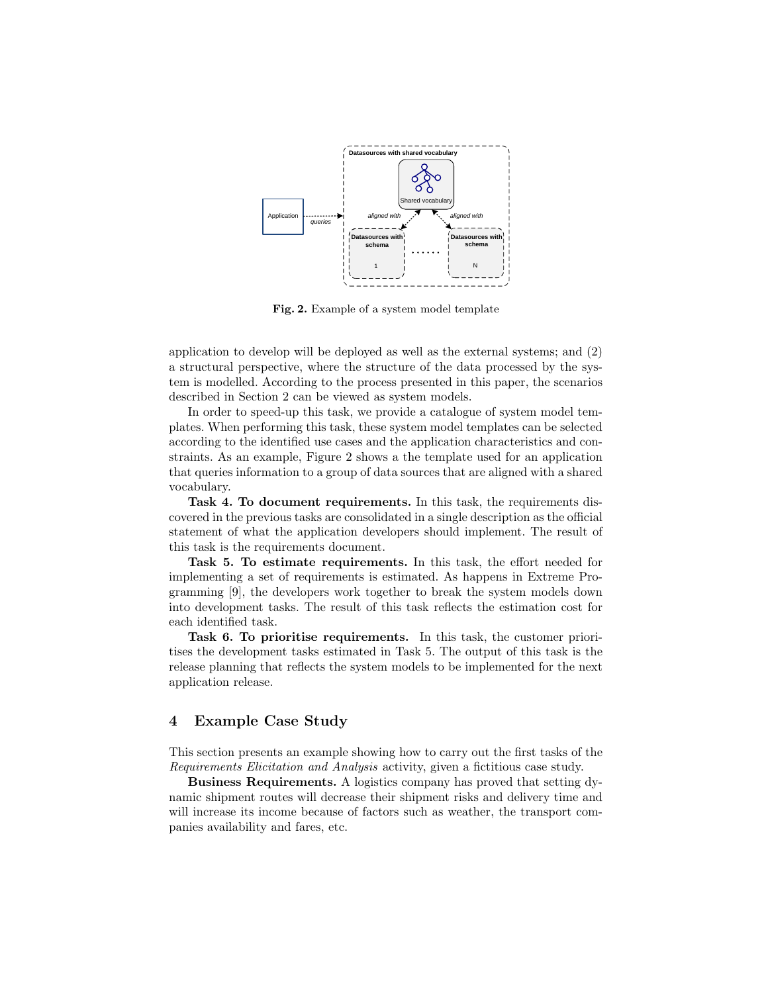

Fig. 2. Example of a system model template

application to develop will be deployed as well as the external systems; and (2) a structural perspective, where the structure of the data processed by the system is modelled. According to the process presented in this paper, the scenarios described in Section 2 can be viewed as system models.

In order to speed-up this task, we provide a catalogue of system model templates. When performing this task, these system model templates can be selected according to the identified use cases and the application characteristics and constraints. As an example, Figure 2 shows a the template used for an application that queries information to a group of data sources that are aligned with a shared vocabulary.

Task 4. To document requirements. In this task, the requirements discovered in the previous tasks are consolidated in a single description as the official statement of what the application developers should implement. The result of this task is the requirements document.

Task 5. To estimate requirements. In this task, the effort needed for implementing a set of requirements is estimated. As happens in Extreme Programming [9], the developers work together to break the system models down into development tasks. The result of this task reflects the estimation cost for each identified task.

Task 6. To prioritise requirements. In this task, the customer prioritises the development tasks estimated in Task 5. The output of this task is the release planning that reflects the system models to be implemented for the next application release.

# 4 Example Case Study

This section presents an example showing how to carry out the first tasks of the Requirements Elicitation and Analysis activity, given a fictitious case study.

Business Requirements. A logistics company has proved that setting dynamic shipment routes will decrease their shipment risks and delivery time and will increase its income because of factors such as weather, the transport companies availability and fares, etc.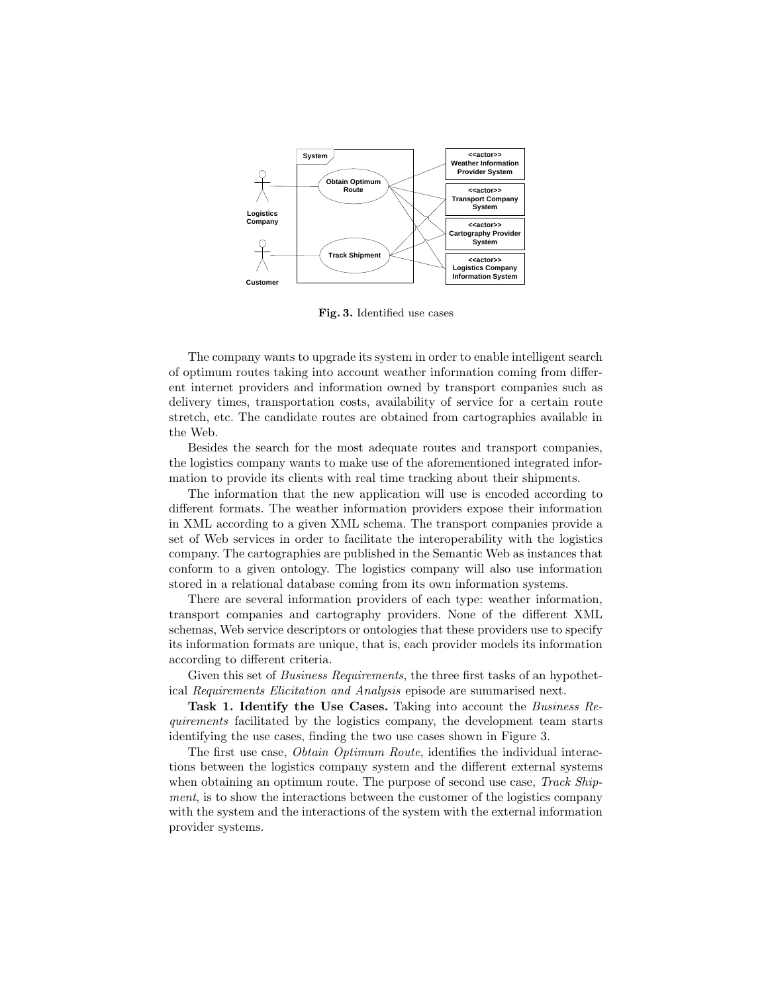

Fig. 3. Identified use cases

The company wants to upgrade its system in order to enable intelligent search of optimum routes taking into account weather information coming from different internet providers and information owned by transport companies such as delivery times, transportation costs, availability of service for a certain route stretch, etc. The candidate routes are obtained from cartographies available in the Web.

Besides the search for the most adequate routes and transport companies, the logistics company wants to make use of the aforementioned integrated information to provide its clients with real time tracking about their shipments.

The information that the new application will use is encoded according to different formats. The weather information providers expose their information in XML according to a given XML schema. The transport companies provide a set of Web services in order to facilitate the interoperability with the logistics company. The cartographies are published in the Semantic Web as instances that conform to a given ontology. The logistics company will also use information stored in a relational database coming from its own information systems.

There are several information providers of each type: weather information, transport companies and cartography providers. None of the different XML schemas, Web service descriptors or ontologies that these providers use to specify its information formats are unique, that is, each provider models its information according to different criteria.

Given this set of *Business Requirements*, the three first tasks of an hypothetical Requirements Elicitation and Analysis episode are summarised next.

Task 1. Identify the Use Cases. Taking into account the Business Requirements facilitated by the logistics company, the development team starts identifying the use cases, finding the two use cases shown in Figure 3.

The first use case, Obtain Optimum Route, identifies the individual interactions between the logistics company system and the different external systems when obtaining an optimum route. The purpose of second use case, *Track Ship*ment, is to show the interactions between the customer of the logistics company with the system and the interactions of the system with the external information provider systems.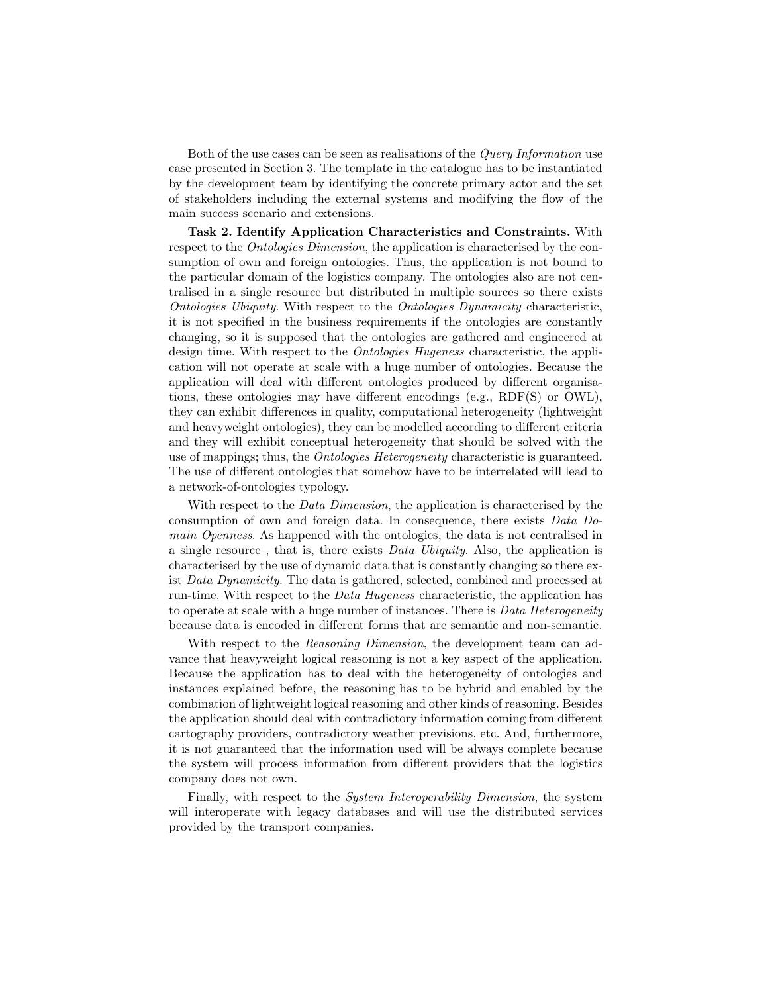Both of the use cases can be seen as realisations of the Query Information use case presented in Section 3. The template in the catalogue has to be instantiated by the development team by identifying the concrete primary actor and the set of stakeholders including the external systems and modifying the flow of the main success scenario and extensions.

Task 2. Identify Application Characteristics and Constraints. With respect to the *Ontologies Dimension*, the application is characterised by the consumption of own and foreign ontologies. Thus, the application is not bound to the particular domain of the logistics company. The ontologies also are not centralised in a single resource but distributed in multiple sources so there exists Ontologies Ubiquity. With respect to the Ontologies Dynamicity characteristic, it is not specified in the business requirements if the ontologies are constantly changing, so it is supposed that the ontologies are gathered and engineered at design time. With respect to the Ontologies Hugeness characteristic, the application will not operate at scale with a huge number of ontologies. Because the application will deal with different ontologies produced by different organisations, these ontologies may have different encodings (e.g., RDF(S) or OWL), they can exhibit differences in quality, computational heterogeneity (lightweight and heavyweight ontologies), they can be modelled according to different criteria and they will exhibit conceptual heterogeneity that should be solved with the use of mappings; thus, the *Ontologies Heterogeneity* characteristic is guaranteed. The use of different ontologies that somehow have to be interrelated will lead to a network-of-ontologies typology.

With respect to the *Data Dimension*, the application is characterised by the consumption of own and foreign data. In consequence, there exists Data Domain Openness. As happened with the ontologies, the data is not centralised in a single resource , that is, there exists Data Ubiquity. Also, the application is characterised by the use of dynamic data that is constantly changing so there exist Data Dynamicity. The data is gathered, selected, combined and processed at run-time. With respect to the Data Hugeness characteristic, the application has to operate at scale with a huge number of instances. There is *Data Heterogeneity* because data is encoded in different forms that are semantic and non-semantic.

With respect to the *Reasoning Dimension*, the development team can advance that heavyweight logical reasoning is not a key aspect of the application. Because the application has to deal with the heterogeneity of ontologies and instances explained before, the reasoning has to be hybrid and enabled by the combination of lightweight logical reasoning and other kinds of reasoning. Besides the application should deal with contradictory information coming from different cartography providers, contradictory weather previsions, etc. And, furthermore, it is not guaranteed that the information used will be always complete because the system will process information from different providers that the logistics company does not own.

Finally, with respect to the System Interoperability Dimension, the system will interoperate with legacy databases and will use the distributed services provided by the transport companies.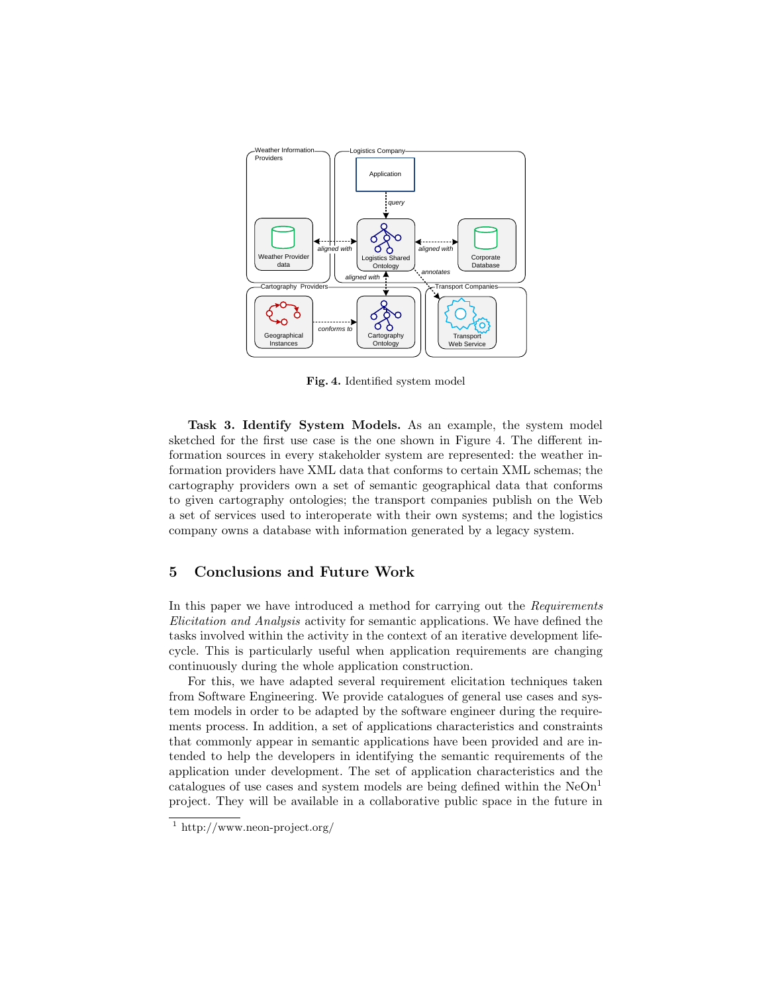

Fig. 4. Identified system model

sketched for the first use case is the one shown in Figure 4. The different information sources in every stakeholder system are represented: the weather information providers have XML data that conforms to certain XML schemas; the to given cartography ontologies; the transport companies publish on the Web Task 3. Identify System Models. As an example, the system model cartography providers own a set of semantic geographical data that conforms a set of services used to interoperate with their own systems; and the logistics company owns a database with information generated by a legacy system.

# 5 Conclusions and Future Work

In this paper we have introduced a method for carrying out the Requirements Elicitation and Analysis activity for semantic applications. We have defined the tasks involved within the activity in the context of an iterative development lifecycle. This is particularly useful when application requirements are changing continuously during the whole application construction.

For this, we have adapted several requirement elicitation techniques taken from Software Engineering. We provide catalogues of general use cases and system models in order to be adapted by the software engineer during the requirements process. In addition, a set of applications characteristics and constraints that commonly appear in semantic applications have been provided and are intended to help the developers in identifying the semantic requirements of the application under development. The set of application characteristics and the catalogues of use cases and system models are being defined within the  $NeOn<sup>1</sup>$ project. They will be available in a collaborative public space in the future in

<sup>&</sup>lt;sup>1</sup> http://www.neon-project.org/